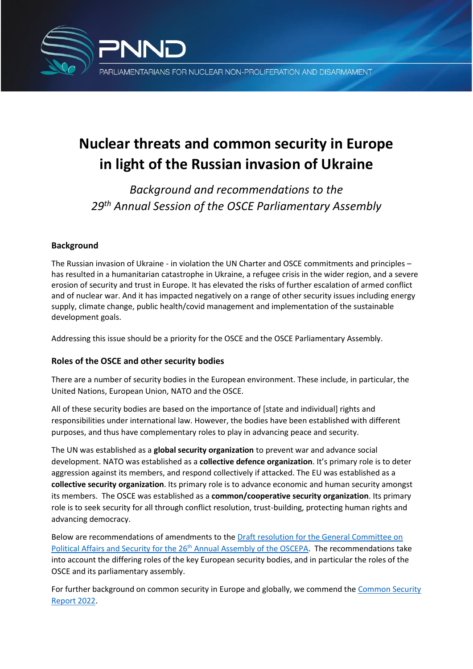

# **Nuclear threats and common security in Europe in light of the Russian invasion of Ukraine**

*Background and recommendations to the 29th Annual Session of the OSCE Parliamentary Assembly*

# **Background**

The Russian invasion of Ukraine - in violation the UN Charter and OSCE commitments and principles – has resulted in a humanitarian catastrophe in Ukraine, a refugee crisis in the wider region, and a severe erosion of security and trust in Europe. It has elevated the risks of further escalation of armed conflict and of nuclear war. And it has impacted negatively on a range of other security issues including energy supply, climate change, public health/covid management and implementation of the sustainable development goals.

Addressing this issue should be a priority for the OSCE and the OSCE Parliamentary Assembly.

## **Roles of the OSCE and other security bodies**

There are a number of security bodies in the European environment. These include, in particular, the United Nations, European Union, NATO and the OSCE.

All of these security bodies are based on the importance of [state and individual] rights and responsibilities under international law. However, the bodies have been established with different purposes, and thus have complementary roles to play in advancing peace and security.

The UN was established as a **global security organization** to prevent war and advance social development. NATO was established as a **collective defence organization**. It's primary role is to deter aggression against its members, and respond collectively if attacked. The EU was established as a **collective security organization**. Its primary role is to advance economic and human security amongst its members. The OSCE was established as a **common/cooperative security organization**. Its primary role is to seek security for all through conflict resolution, trust-building, protecting human rights and advancing democracy.

Below are recommendations of amendments to the [Draft resolution for the General Committee on](https://drive.google.com/file/d/1BE4ImMdCwhq-BXkrcL9iYNM5_eix0CWd/view)  Political Affairs and Security for the 26<sup>th</sup> [Annual Assembly of the OSCEPA.](https://drive.google.com/file/d/1BE4ImMdCwhq-BXkrcL9iYNM5_eix0CWd/view) The recommendations take into account the differing roles of the key European security bodies, and in particular the roles of the OSCE and its parliamentary assembly.

For further background on common security in Europe and globally, we commend th[e Common Security](https://commonsecurity.org/CommonSecurity_Report_2022_Blue.pdf)  [Report 2022.](https://commonsecurity.org/CommonSecurity_Report_2022_Blue.pdf)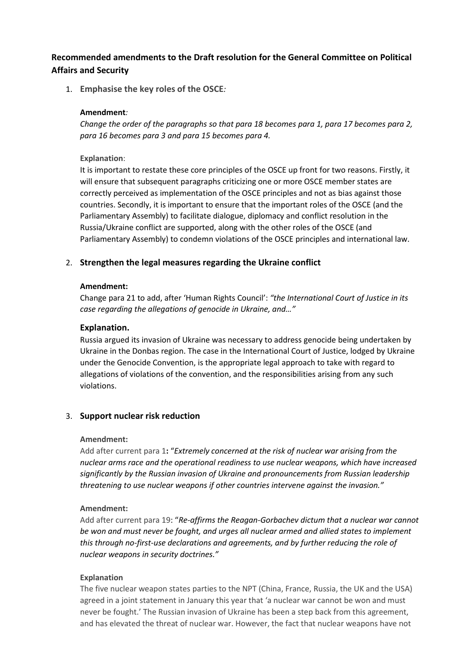## **Recommended amendments to the Draft resolution for the General Committee on Political Affairs and Security**

1. **Emphasise the key roles of the OSCE***:* 

#### **Amendment***:*

*Change the order of the paragraphs so that para 18 becomes para 1, para 17 becomes para 2, para 16 becomes para 3 and para 15 becomes para 4.*

**Explanation**:

It is important to restate these core principles of the OSCE up front for two reasons. Firstly, it will ensure that subsequent paragraphs criticizing one or more OSCE member states are correctly perceived as implementation of the OSCE principles and not as bias against those countries. Secondly, it is important to ensure that the important roles of the OSCE (and the Parliamentary Assembly) to facilitate dialogue, diplomacy and conflict resolution in the Russia/Ukraine conflict are supported, along with the other roles of the OSCE (and Parliamentary Assembly) to condemn violations of the OSCE principles and international law.

### 2. **Strengthen the legal measures regarding the Ukraine conflict**

#### **Amendment:**

Change para 21 to add, after 'Human Rights Council': *"the International Court of Justice in its case regarding the allegations of genocide in Ukraine, and…"*

#### **Explanation.**

Russia argued its invasion of Ukraine was necessary to address genocide being undertaken by Ukraine in the Donbas region. The case in the International Court of Justice, lodged by Ukraine under the Genocide Convention, is the appropriate legal approach to take with regard to allegations of violations of the convention, and the responsibilities arising from any such violations.

#### 3. **Support nuclear risk reduction**

#### **Amendment:**

Add after current para 1**:** "*Extremely concerned at the risk of nuclear war arising from the nuclear arms race and the operational readiness to use nuclear weapons, which have increased significantly by the Russian invasion of Ukraine and pronouncements from Russian leadership threatening to use nuclear weapons if other countries intervene against the invasion."*

#### **Amendment:**

Add after current para 19: "*Re-affirms the Reagan-Gorbachev dictum that a nuclear war cannot be won and must never be fought, and urges all nuclear armed and allied states to implement this through no-first-use declarations and agreements, and by further reducing the role of nuclear weapons in security doctrines."*

#### **Explanation**

The five nuclear weapon states parties to the NPT (China, France, Russia, the UK and the USA) agreed in a joint statement in January this year that 'a nuclear war cannot be won and must never be fought.' The Russian invasion of Ukraine has been a step back from this agreement, and has elevated the threat of nuclear war. However, the fact that nuclear weapons have not